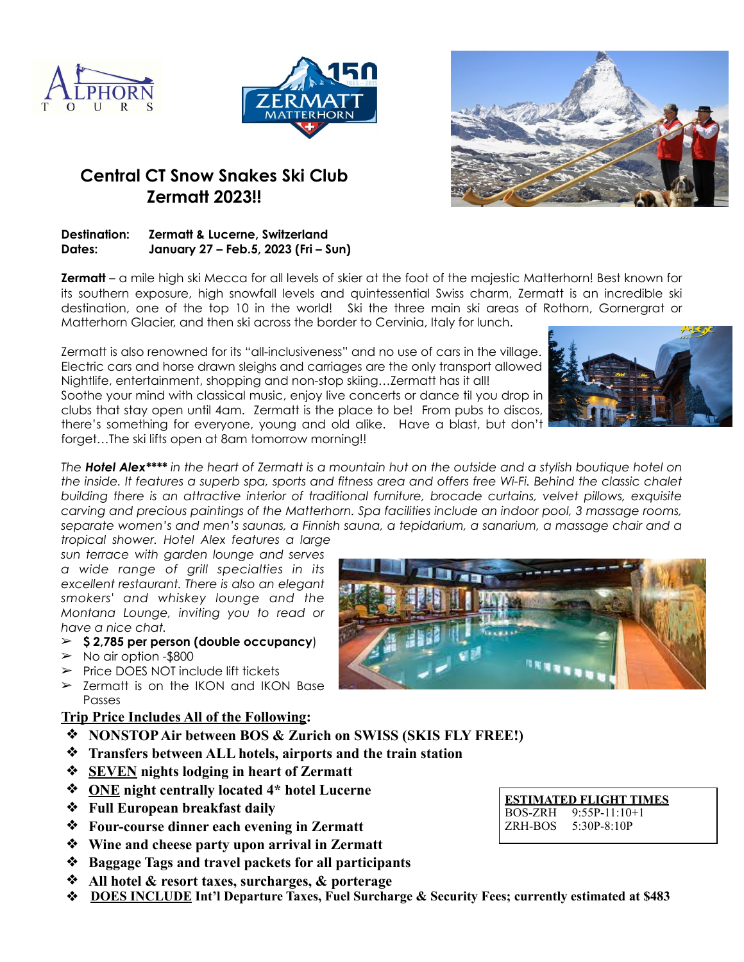





## **Central CT Snow Snakes Ski Club Zermatt 2023!!**

## **Destination: Zermatt & Lucerne, Switzerland Dates: January 27 – Feb.5, 2023 (Fri – Sun)**

**Zermatt** – a mile high ski Mecca for all levels of skier at the foot of the majestic Matterhorn! Best known for its southern exposure, high snowfall levels and quintessential Swiss charm, Zermatt is an incredible ski destination, one of the top 10 in the world! Ski the three main ski areas of Rothorn, Gornergrat or Matterhorn Glacier, and then ski across the border to Cervinia, Italy for lunch.

Zermatt is also renowned for its "all-inclusiveness" and no use of cars in the village. Electric cars and horse drawn sleighs and carriages are the only transport allowed Nightlife, entertainment, shopping and non-stop skiing…Zermatt has it all! Soothe your mind with classical music, enjoy live concerts or dance til you drop in clubs that stay open until 4am. Zermatt is the place to be! From pubs to discos, there's something for everyone, young and old alike. Have a blast, but don't forget…The ski lifts open at 8am tomorrow morning!!



*The Hotel Alex\*\*\*\* in the heart of Zermatt is a mountain hut on the outside and a stylish boutique hotel on the inside. It features a superb spa, sports and fitness area and offers free Wi-Fi. Behind the classic chalet building there is an attractive interior of traditional furniture, brocade curtains, velvet pillows, exquisite carving and precious paintings of the Matterhorn. Spa facilities include an indoor pool, 3 massage rooms, separate women's and men's saunas, a Finnish sauna, a tepidarium, a sanarium, a massage chair and a*

*tropical shower. Hotel Alex features a large sun terrace with garden lounge and serves a wide range of grill specialties in its excellent restaurant. There is also an elegant smokers' and whiskey lounge and the Montana Lounge, inviting you to read or have a nice chat.* 

- ➢ **\$ 2,785 per person (double occupancy**)
- $\geq$  No air option -\$800
- ➢ Price DOES NOT include lift tickets
- $\geq$  Zermatt is on the IKON and IKON Base Passes

## **Trip Price Includes All of the Following:**

- ❖ **NONSTOP Air between BOS & Zurich on SWISS (SKIS FLY FREE!)**
- ❖ **Transfers between ALL hotels, airports and the train station**
- ❖ **SEVEN nights lodging in heart of Zermatt**
- ❖ **ONE night centrally located 4\* hotel Lucerne**
- ❖ **Full European breakfast daily**
- ❖ **Four-course dinner each evening in Zermatt**
- ❖ **Wine and cheese party upon arrival in Zermatt**
- ❖ **Baggage Tags and travel packets for all participants**
- ❖ **All hotel & resort taxes, surcharges, & porterage**
- ❖ **DOES INCLUDE Int'l Departure Taxes, Fuel Surcharge & Security Fees; currently estimated at \$483**



**ESTIMATED FLIGHT TIMES** BOS-ZRH 9:55P-11:10+1 ZRH-BOS 5:30P-8:10P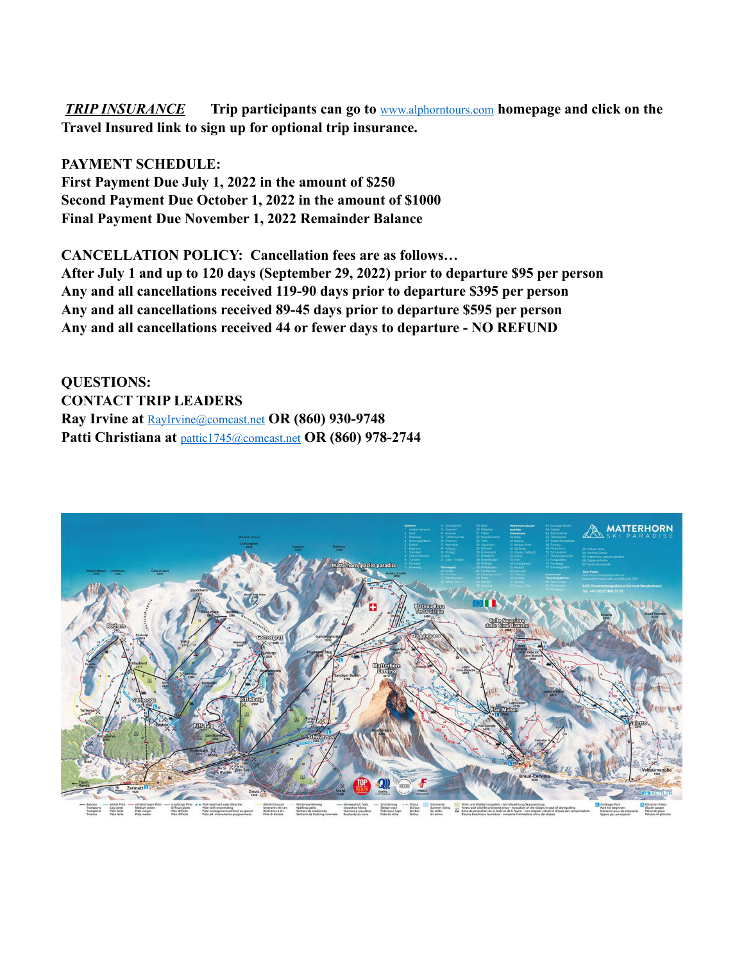*TRIP INSURANCE* **Trip participants can go to** [www.alphorntours.com](http://www.alphorntours.com) **homepage and click on the Travel Insured link to sign up for optional trip insurance.** 

**PAYMENT SCHEDULE: First Payment Due July 1, 2022 in the amount of \$250 Second Payment Due October 1, 2022 in the amount of \$1000 Final Payment Due November 1, 2022 Remainder Balance**

**CANCELLATION POLICY: Cancellation fees are as follows… After July 1 and up to 120 days (September 29, 2022) prior to departure \$95 per person Any and all cancellations received 119-90 days prior to departure \$395 per person Any and all cancellations received 89-45 days prior to departure \$595 per person Any and all cancellations received 44 or fewer days to departure - NO REFUND**

**QUESTIONS: CONTACT TRIP LEADERS Ray Irvine at** [RayIrvine@comcast.net](mailto:RayIrvine@comcast.net) **OR (860) 930-9748** Patti Christiana at **[pattic1745@comcast.net](mailto:pattic1745@comcast.net)** OR (860) 978-2744